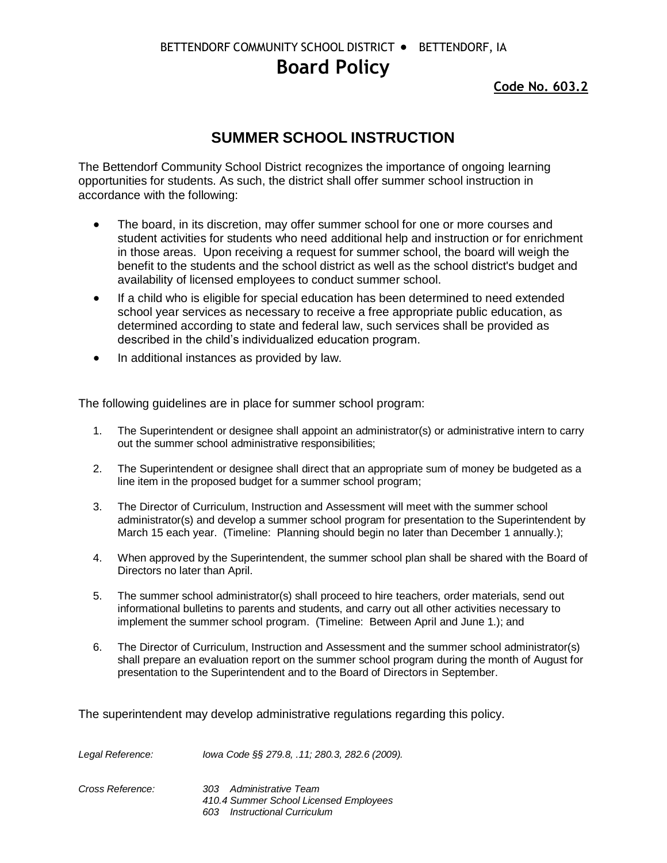BETTENDORF COMMUNITY SCHOOL DISTRICT ● BETTENDORF, IA

## **Board Policy**

**Code No. 603.2**

## **SUMMER SCHOOL INSTRUCTION**

The Bettendorf Community School District recognizes the importance of ongoing learning opportunities for students. As such, the district shall offer summer school instruction in accordance with the following:

- The board, in its discretion, may offer summer school for one or more courses and student activities for students who need additional help and instruction or for enrichment in those areas. Upon receiving a request for summer school, the board will weigh the benefit to the students and the school district as well as the school district's budget and availability of licensed employees to conduct summer school.
- If a child who is eligible for special education has been determined to need extended school year services as necessary to receive a free appropriate public education, as determined according to state and federal law, such services shall be provided as described in the child's individualized education program.
- In additional instances as provided by law.

The following guidelines are in place for summer school program:

- 1. The Superintendent or designee shall appoint an administrator(s) or administrative intern to carry out the summer school administrative responsibilities;
- 2. The Superintendent or designee shall direct that an appropriate sum of money be budgeted as a line item in the proposed budget for a summer school program;
- 3. The Director of Curriculum, Instruction and Assessment will meet with the summer school administrator(s) and develop a summer school program for presentation to the Superintendent by March 15 each year. (Timeline: Planning should begin no later than December 1 annually.);
- 4. When approved by the Superintendent, the summer school plan shall be shared with the Board of Directors no later than April.
- 5. The summer school administrator(s) shall proceed to hire teachers, order materials, send out informational bulletins to parents and students, and carry out all other activities necessary to implement the summer school program. (Timeline: Between April and June 1.); and
- 6. The Director of Curriculum, Instruction and Assessment and the summer school administrator(s) shall prepare an evaluation report on the summer school program during the month of August for presentation to the Superintendent and to the Board of Directors in September.

The superintendent may develop administrative regulations regarding this policy.

| Legal Reference: | lowa Code §§ 279.8, .11; 280.3, 282.6 (2009).                                                                |
|------------------|--------------------------------------------------------------------------------------------------------------|
| Cross Reference: | 303 Administrative Team<br>410.4 Summer School Licensed Employees<br><b>Instructional Curriculum</b><br>603. |